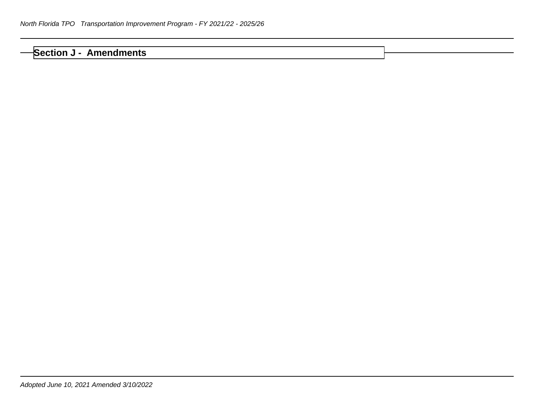## **Section J - Amendments**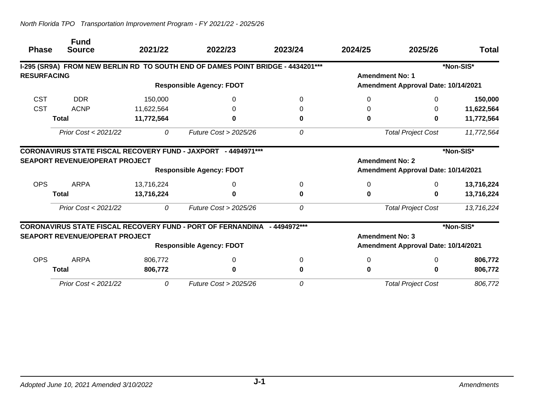|                    | <b>Fund</b>                           |            |                                                                                 |              |                        |                                     |              |
|--------------------|---------------------------------------|------------|---------------------------------------------------------------------------------|--------------|------------------------|-------------------------------------|--------------|
| <b>Phase</b>       | <b>Source</b>                         | 2021/22    | 2022/23                                                                         | 2023/24      | 2024/25                | 2025/26                             | <b>Total</b> |
|                    |                                       |            | I-295 (SR9A) FROM NEW BERLIN RD TO SOUTH END OF DAMES POINT BRIDGE - 4434201*** |              |                        |                                     | *Non-SIS*    |
| <b>RESURFACING</b> |                                       |            |                                                                                 |              | <b>Amendment No: 1</b> |                                     |              |
|                    |                                       |            | <b>Responsible Agency: FDOT</b>                                                 |              |                        | Amendment Approval Date: 10/14/2021 |              |
| <b>CST</b>         | <b>DDR</b>                            | 150,000    | 0                                                                               |              | 0                      | 0                                   | 150,000      |
| <b>CST</b>         | <b>ACNP</b>                           | 11,622,564 | O                                                                               |              | 0                      | 0                                   | 11,622,564   |
|                    | <b>Total</b>                          | 11,772,564 |                                                                                 |              | 0                      | 0                                   | 11,772,564   |
|                    | Prior Cost < 2021/22                  | 0          | Future Cost > 2025/26                                                           | 0            |                        | <b>Total Project Cost</b>           | 11,772,564   |
|                    |                                       |            | <b>CORONAVIRUS STATE FISCAL RECOVERY FUND - JAXPORT - 4494971***</b>            |              |                        |                                     | *Non-SIS*    |
|                    | <b>SEAPORT REVENUE/OPERAT PROJECT</b> |            |                                                                                 |              | <b>Amendment No: 2</b> |                                     |              |
|                    |                                       |            | <b>Responsible Agency: FDOT</b>                                                 |              |                        | Amendment Approval Date: 10/14/2021 |              |
| <b>OPS</b>         | <b>ARPA</b>                           | 13,716,224 | 0                                                                               | 0            | 0                      | 0                                   | 13,716,224   |
|                    | <b>Total</b>                          | 13,716,224 | ŋ                                                                               |              | 0                      | 0                                   | 13,716,224   |
|                    | Prior Cost < 2021/22                  | 0          | Future Cost > 2025/26                                                           | 0            |                        | <b>Total Project Cost</b>           | 13,716,224   |
|                    |                                       |            | <b>CORONAVIRUS STATE FISCAL RECOVERY FUND - PORT OF FERNANDINA</b>              | - 4494972*** |                        |                                     | *Non-SIS*    |
|                    | <b>SEAPORT REVENUE/OPERAT PROJECT</b> |            |                                                                                 |              | <b>Amendment No: 3</b> |                                     |              |
|                    |                                       |            | <b>Responsible Agency: FDOT</b>                                                 |              |                        | Amendment Approval Date: 10/14/2021 |              |
| <b>OPS</b>         | <b>ARPA</b>                           | 806,772    | 0                                                                               | 0            | 0                      | 0                                   | 806,772      |
|                    | <b>Total</b>                          | 806,772    | 0                                                                               |              | 0                      | 0                                   | 806,772      |
|                    | Prior Cost < 2021/22                  | 0          | Future Cost > 2025/26                                                           | 0            |                        | <b>Total Project Cost</b>           | 806,772      |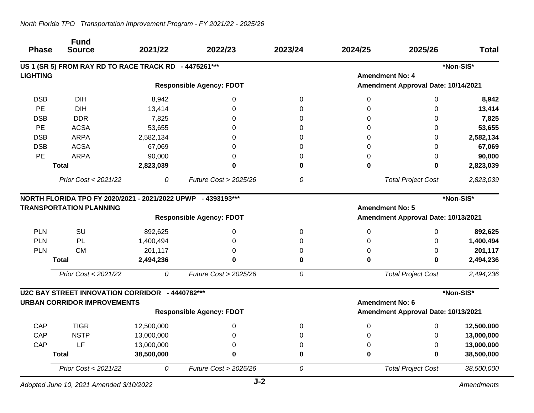| <b>Phase</b>    | <b>Fund</b><br><b>Source</b>                                                                   | 2021/22    | 2022/23                         | 2023/24  | 2024/25                | 2025/26                             | <b>Total</b> |
|-----------------|------------------------------------------------------------------------------------------------|------------|---------------------------------|----------|------------------------|-------------------------------------|--------------|
|                 | US 1 (SR 5) FROM RAY RD TO RACE TRACK RD - 4475261***                                          |            |                                 |          |                        |                                     | *Non-SIS*    |
| <b>LIGHTING</b> |                                                                                                |            |                                 |          | <b>Amendment No: 4</b> |                                     |              |
|                 |                                                                                                |            | <b>Responsible Agency: FDOT</b> |          |                        | Amendment Approval Date: 10/14/2021 |              |
| <b>DSB</b>      | <b>DIH</b>                                                                                     | 8,942      | 0                               | 0        | 0                      | 0                                   | 8,942        |
| PE              | <b>DIH</b>                                                                                     | 13,414     | 0                               | $\Omega$ | 0                      | 0                                   | 13,414       |
| <b>DSB</b>      | <b>DDR</b>                                                                                     | 7,825      | $\Omega$                        | $\Omega$ | 0                      | $\Omega$                            | 7,825        |
| PE              | <b>ACSA</b>                                                                                    | 53,655     | $\Omega$                        | $\Omega$ | 0                      | $\Omega$                            | 53,655       |
| <b>DSB</b>      | <b>ARPA</b>                                                                                    | 2,582,134  | $\Omega$                        | 0        | 0                      | 0                                   | 2,582,134    |
| <b>DSB</b>      | <b>ACSA</b>                                                                                    | 67,069     | 0                               | 0        | 0                      | 0                                   | 67,069       |
| PE              | <b>ARPA</b>                                                                                    | 90,000     | 0                               | 0        | 0                      | 0                                   | 90,000       |
|                 | <b>Total</b>                                                                                   | 2,823,039  | 0                               | 0        | 0                      | 0                                   | 2,823,039    |
|                 | Prior Cost < 2021/22                                                                           | 0          | Future Cost > 2025/26           | 0        |                        | <b>Total Project Cost</b>           | 2,823,039    |
|                 | NORTH FLORIDA TPO FY 2020/2021 - 2021/2022 UPWP - 4393193***<br><b>TRANSPORTATION PLANNING</b> |            |                                 |          | <b>Amendment No: 5</b> |                                     | *Non-SIS*    |
|                 |                                                                                                |            | <b>Responsible Agency: FDOT</b> |          |                        | Amendment Approval Date: 10/13/2021 |              |
| <b>PLN</b>      | SU                                                                                             | 892,625    | 0                               | 0        | 0                      | 0                                   | 892,625      |
| <b>PLN</b>      | PL                                                                                             | 1,400,494  | 0                               | 0        | 0                      | 0                                   | 1,400,494    |
| <b>PLN</b>      | <b>CM</b>                                                                                      | 201,117    | 0                               | 0        | 0                      | 0                                   | 201,117      |
|                 | <b>Total</b>                                                                                   | 2,494,236  | $\bf{0}$                        | 0        | $\mathbf 0$            | $\mathbf 0$                         | 2,494,236    |
|                 | Prior Cost < 2021/22                                                                           | 0          | Future Cost > 2025/26           | 0        |                        | <b>Total Project Cost</b>           | 2,494,236    |
|                 | U2C BAY STREET INNOVATION CORRIDOR - 4440782***                                                |            |                                 |          |                        |                                     | *Non-SIS*    |
|                 | <b>URBAN CORRIDOR IMPROVEMENTS</b>                                                             |            |                                 |          | <b>Amendment No: 6</b> |                                     |              |
|                 |                                                                                                |            | <b>Responsible Agency: FDOT</b> |          |                        | Amendment Approval Date: 10/13/2021 |              |
| CAP             | <b>TIGR</b>                                                                                    | 12,500,000 | 0                               | 0        | 0                      | 0                                   | 12,500,000   |
| CAP             | <b>NSTP</b>                                                                                    | 13,000,000 | $\mathbf 0$                     | 0        | 0                      | 0                                   | 13,000,000   |
| CAP             | LF                                                                                             | 13,000,000 | $\Omega$                        | 0        | 0                      | 0                                   | 13,000,000   |
|                 | <b>Total</b>                                                                                   | 38,500,000 | 0                               | 0        | $\mathbf 0$            | 0                                   | 38,500,000   |
|                 | Prior Cost < 2021/22                                                                           | 0          | Future Cost > 2025/26           | 0        |                        | <b>Total Project Cost</b>           | 38,500,000   |

*Adopted June 10, 2021 Amended 3/10/2022*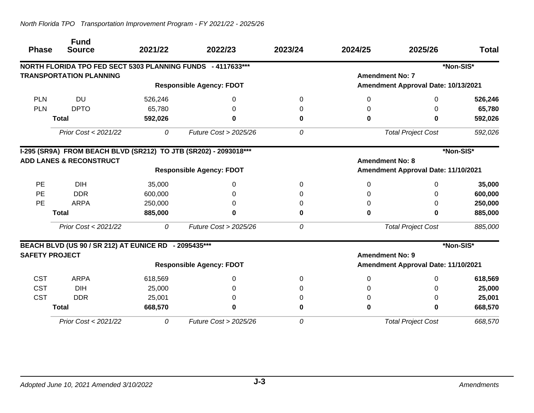| <b>Phase</b>          | <b>Fund</b><br><b>Source</b>                                     | 2021/22 | 2022/23                         | 2023/24 | 2024/25                             | 2025/26                             | <b>Total</b> |
|-----------------------|------------------------------------------------------------------|---------|---------------------------------|---------|-------------------------------------|-------------------------------------|--------------|
|                       | NORTH FLORIDA TPO FED SECT 5303 PLANNING FUNDS - 4117633***      |         |                                 |         |                                     |                                     | *Non-SIS*    |
|                       | <b>TRANSPORTATION PLANNING</b>                                   |         |                                 |         | <b>Amendment No: 7</b>              |                                     |              |
|                       |                                                                  |         | <b>Responsible Agency: FDOT</b> |         |                                     | Amendment Approval Date: 10/13/2021 |              |
| <b>PLN</b>            | <b>DU</b>                                                        | 526,246 | 0                               | 0       | 0                                   | 0                                   | 526,246      |
| <b>PLN</b>            | <b>DPTO</b>                                                      | 65,780  | 0                               | 0       | 0                                   | 0                                   | 65,780       |
|                       | <b>Total</b>                                                     | 592,026 | $\bf{0}$                        | 0       | 0                                   | 0                                   | 592,026      |
|                       | Prior Cost < 2021/22                                             | 0       | Future Cost $>$ 2025/26         | 0       |                                     | <b>Total Project Cost</b>           | 592,026      |
|                       | I-295 (SR9A) FROM BEACH BLVD (SR212) TO JTB (SR202) - 2093018*** |         |                                 |         |                                     |                                     | *Non-SIS*    |
|                       | <b>ADD LANES &amp; RECONSTRUCT</b>                               |         | <b>Amendment No: 8</b>          |         |                                     |                                     |              |
|                       | <b>Responsible Agency: FDOT</b>                                  |         |                                 |         | Amendment Approval Date: 11/10/2021 |                                     |              |
| PE                    | <b>DIH</b>                                                       | 35,000  | 0                               | 0       | 0                                   | 0                                   | 35,000       |
| <b>PE</b>             | <b>DDR</b>                                                       | 600,000 | 0                               | 0       | 0                                   | 0                                   | 600,000      |
| PE                    | <b>ARPA</b>                                                      | 250,000 | 0                               | 0       | 0                                   | 0                                   | 250,000      |
|                       | <b>Total</b>                                                     | 885,000 | 0                               | 0       | 0                                   | 0                                   | 885,000      |
|                       | Prior Cost < 2021/22                                             | 0       | <b>Future Cost &gt; 2025/26</b> | 0       |                                     | <b>Total Project Cost</b>           | 885,000      |
|                       | BEACH BLVD (US 90 / SR 212) AT EUNICE RD - 2095435***            |         |                                 |         |                                     |                                     | *Non-SIS*    |
| <b>SAFETY PROJECT</b> |                                                                  |         |                                 |         | <b>Amendment No: 9</b>              |                                     |              |
|                       |                                                                  |         | <b>Responsible Agency: FDOT</b> |         |                                     | Amendment Approval Date: 11/10/2021 |              |
| <b>CST</b>            | <b>ARPA</b>                                                      | 618,569 | 0                               | 0       | 0                                   | 0                                   | 618,569      |
| <b>CST</b>            | <b>DIH</b>                                                       | 25,000  | 0                               |         |                                     | 0                                   | 25,000       |
| <b>CST</b>            | <b>DDR</b>                                                       | 25,001  | 0                               |         | 0                                   | 0                                   | 25,001       |
|                       | <b>Total</b>                                                     | 668,570 | 0                               |         | 0                                   | 0                                   | 668,570      |
|                       | Prior Cost < 2021/22                                             | 0       | Future Cost > 2025/26           | 0       |                                     | <b>Total Project Cost</b>           | 668,570      |

## *North Florida TPO Transportation Improvement Program - FY 2021/22 - 2025/26*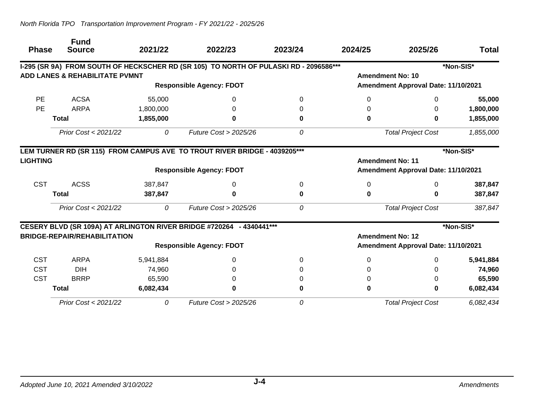|                 | <b>Fund</b>                               |           |                                                                                       |         |                         |                                     |              |
|-----------------|-------------------------------------------|-----------|---------------------------------------------------------------------------------------|---------|-------------------------|-------------------------------------|--------------|
| <b>Phase</b>    | <b>Source</b>                             | 2021/22   | 2022/23                                                                               | 2023/24 | 2024/25                 | 2025/26                             | <b>Total</b> |
|                 |                                           |           | I-295 (SR 9A) FROM SOUTH OF HECKSCHER RD (SR 105) TO NORTH OF PULASKI RD - 2096586*** |         |                         |                                     | *Non-SIS*    |
|                 | <b>ADD LANES &amp; REHABILITATE PVMNT</b> |           |                                                                                       |         |                         | <b>Amendment No: 10</b>             |              |
|                 |                                           |           | <b>Responsible Agency: FDOT</b>                                                       |         |                         | Amendment Approval Date: 11/10/2021 |              |
| <b>PE</b>       | <b>ACSA</b>                               | 55,000    | 0                                                                                     | 0       | 0                       | 0                                   | 55,000       |
| <b>PE</b>       | <b>ARPA</b>                               | 1,800,000 | 0                                                                                     |         | 0                       | 0                                   | 1,800,000    |
|                 | <b>Total</b>                              | 1,855,000 | 0                                                                                     | 0       | 0                       | U                                   | 1,855,000    |
|                 | Prior Cost < 2021/22                      | 0         | <b>Future Cost &gt; 2025/26</b>                                                       | 0       |                         | <b>Total Project Cost</b>           | 1,855,000    |
|                 |                                           |           | LEM TURNER RD (SR 115) FROM CAMPUS AVE TO TROUT RIVER BRIDGE - 4039205***             |         |                         |                                     | *Non-SIS*    |
| <b>LIGHTING</b> |                                           |           |                                                                                       |         | <b>Amendment No: 11</b> |                                     |              |
|                 |                                           |           | <b>Responsible Agency: FDOT</b>                                                       |         |                         | Amendment Approval Date: 11/10/2021 |              |
| <b>CST</b>      | <b>ACSS</b>                               | 387,847   | 0                                                                                     | 0       | 0                       | $\Omega$                            | 387,847      |
|                 | <b>Total</b>                              | 387,847   | 0                                                                                     | 0       | 0                       | U                                   | 387,847      |
|                 | Prior Cost < 2021/22                      | 0         | Future Cost > 2025/26                                                                 | 0       |                         | <b>Total Project Cost</b>           | 387,847      |
|                 |                                           |           | CESERY BLVD (SR 109A) AT ARLINGTON RIVER BRIDGE #720264 - 4340441 ***                 |         |                         |                                     | *Non-SIS*    |
|                 | <b>BRIDGE-REPAIR/REHABILITATION</b>       |           |                                                                                       |         |                         | <b>Amendment No: 12</b>             |              |
|                 |                                           |           | <b>Responsible Agency: FDOT</b>                                                       |         |                         | Amendment Approval Date: 11/10/2021 |              |
| <b>CST</b>      | <b>ARPA</b>                               | 5,941,884 | 0                                                                                     | 0       | 0                       | 0                                   | 5,941,884    |
| <b>CST</b>      | <b>DIH</b>                                | 74,960    |                                                                                       |         | 0                       |                                     | 74,960       |
| <b>CST</b>      | <b>BRRP</b>                               | 65,590    |                                                                                       |         |                         |                                     | 65,590       |
|                 | <b>Total</b>                              | 6,082,434 | 0                                                                                     | 0       | 0                       |                                     | 6,082,434    |
|                 | Prior Cost < 2021/22                      | 0         | Future Cost > 2025/26                                                                 | 0       |                         | <b>Total Project Cost</b>           | 6,082,434    |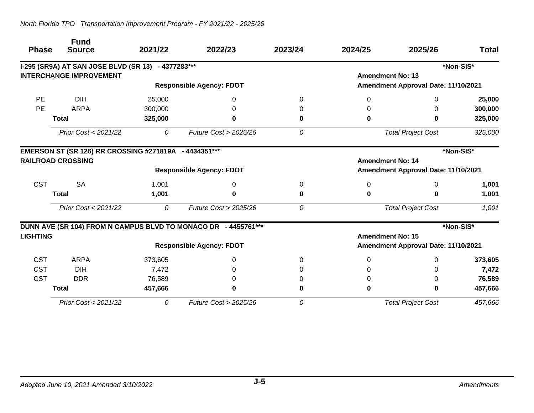| <b>Phase</b>    | <b>Fund</b><br><b>Source</b>                          | 2021/22 | 2022/23                                                        | 2023/24 | 2024/25 | 2025/26                             | <b>Total</b> |
|-----------------|-------------------------------------------------------|---------|----------------------------------------------------------------|---------|---------|-------------------------------------|--------------|
|                 |                                                       |         |                                                                |         |         |                                     |              |
|                 | I-295 (SR9A) AT SAN JOSE BLVD (SR 13) - 4377283***    |         |                                                                |         |         |                                     | *Non-SIS*    |
|                 | <b>INTERCHANGE IMPROVEMENT</b>                        |         |                                                                |         |         | <b>Amendment No: 13</b>             |              |
|                 |                                                       |         | <b>Responsible Agency: FDOT</b>                                |         |         | Amendment Approval Date: 11/10/2021 |              |
| <b>PE</b>       | <b>DIH</b>                                            | 25,000  | 0                                                              | 0       | 0       | $\Omega$                            | 25,000       |
| <b>PE</b>       | <b>ARPA</b>                                           | 300,000 | 0                                                              |         | 0       | 0                                   | 300,000      |
|                 | <b>Total</b>                                          | 325,000 | 0                                                              | 0       | 0       | 0                                   | 325,000      |
|                 | Prior Cost < 2021/22                                  | 0       | <b>Future Cost &gt; 2025/26</b>                                | 0       |         | <b>Total Project Cost</b>           | 325,000      |
|                 | EMERSON ST (SR 126) RR CROSSING #271819A - 4434351*** |         |                                                                |         |         |                                     | *Non-SIS*    |
|                 | <b>RAILROAD CROSSING</b>                              |         |                                                                |         |         | <b>Amendment No: 14</b>             |              |
|                 |                                                       |         | <b>Responsible Agency: FDOT</b>                                |         |         | Amendment Approval Date: 11/10/2021 |              |
| <b>CST</b>      | <b>SA</b>                                             | 1,001   | 0                                                              | 0       | 0       | 0                                   | 1,001        |
|                 | <b>Total</b>                                          | 1,001   | 0                                                              | 0       | 0       | 0                                   | 1,001        |
|                 | Prior Cost < 2021/22                                  | 0       | Future Cost > 2025/26                                          | 0       |         | <b>Total Project Cost</b>           | 1,001        |
|                 |                                                       |         | DUNN AVE (SR 104) FROM N CAMPUS BLVD TO MONACO DR - 4455761*** |         |         |                                     | *Non-SIS*    |
| <b>LIGHTING</b> |                                                       |         |                                                                |         |         | <b>Amendment No: 15</b>             |              |
|                 |                                                       |         | <b>Responsible Agency: FDOT</b>                                |         |         | Amendment Approval Date: 11/10/2021 |              |
| <b>CST</b>      | <b>ARPA</b>                                           | 373,605 | 0                                                              | 0       | 0       | 0                                   | 373,605      |
| <b>CST</b>      | <b>DIH</b>                                            | 7,472   | 0                                                              |         | 0       | 0                                   | 7,472        |
| <b>CST</b>      | <b>DDR</b>                                            | 76,589  | 0                                                              |         | 0       | 0                                   | 76,589       |
|                 | <b>Total</b>                                          | 457,666 | 0                                                              | 0       | 0       | 0                                   | 457,666      |
|                 | Prior Cost < 2021/22                                  | 0       | Future Cost > 2025/26                                          | 0       |         | <b>Total Project Cost</b>           | 457,666      |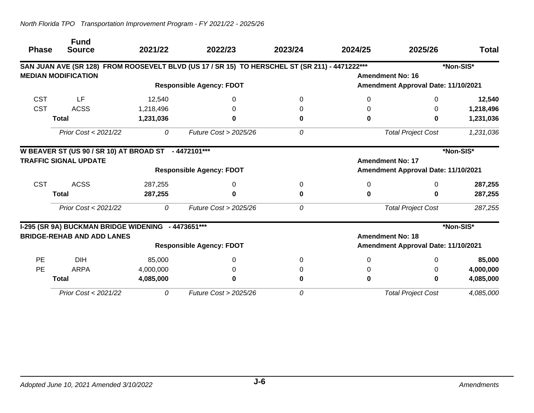|              | <b>Fund</b>                                          |           |                                                                                                |          |          |                                     |              |
|--------------|------------------------------------------------------|-----------|------------------------------------------------------------------------------------------------|----------|----------|-------------------------------------|--------------|
| <b>Phase</b> | <b>Source</b>                                        | 2021/22   | 2022/23                                                                                        | 2023/24  | 2024/25  | 2025/26                             | <b>Total</b> |
|              |                                                      |           | SAN JUAN AVE (SR 128) FROM ROOSEVELT BLVD (US 17 / SR 15) TO HERSCHEL ST (SR 211) - 4471222*** |          |          |                                     | *Non-SIS*    |
|              | <b>MEDIAN MODIFICATION</b>                           |           |                                                                                                |          |          | <b>Amendment No: 16</b>             |              |
|              |                                                      |           | <b>Responsible Agency: FDOT</b>                                                                |          |          | Amendment Approval Date: 11/10/2021 |              |
| <b>CST</b>   | LF                                                   | 12,540    | 0                                                                                              | 0        | 0        | $\Omega$                            | 12,540       |
| <b>CST</b>   | <b>ACSS</b>                                          | 1,218,496 | 0                                                                                              |          | 0        | 0                                   | 1,218,496    |
|              | <b>Total</b>                                         | 1,231,036 | 0                                                                                              |          | 0        | 0                                   | 1,231,036    |
|              | Prior Cost < 2021/22                                 | 0         | Future Cost $>$ 2025/26                                                                        | 0        |          | <b>Total Project Cost</b>           | 1,231,036    |
|              | W BEAVER ST (US 90 / SR 10) AT BROAD ST - 4472101*** |           |                                                                                                |          |          |                                     | *Non-SIS*    |
|              | <b>TRAFFIC SIGNAL UPDATE</b>                         |           |                                                                                                |          |          | <b>Amendment No: 17</b>             |              |
|              |                                                      |           | <b>Responsible Agency: FDOT</b>                                                                |          |          | Amendment Approval Date: 11/10/2021 |              |
| <b>CST</b>   | <b>ACSS</b>                                          | 287,255   | 0                                                                                              | $\Omega$ | 0        | $\Omega$                            | 287,255      |
|              | <b>Total</b>                                         | 287,255   | 0                                                                                              | 0        | 0        | 0                                   | 287,255      |
|              | Prior Cost < 2021/22                                 | 0         | Future Cost > 2025/26                                                                          | 0        |          | <b>Total Project Cost</b>           | 287,255      |
|              | I-295 (SR 9A) BUCKMAN BRIDGE WIDENING - 4473651***   |           |                                                                                                |          |          |                                     | *Non-SIS*    |
|              | <b>BRIDGE-REHAB AND ADD LANES</b>                    |           |                                                                                                |          |          | <b>Amendment No: 18</b>             |              |
|              |                                                      |           | <b>Responsible Agency: FDOT</b>                                                                |          |          | Amendment Approval Date: 11/10/2021 |              |
| <b>PE</b>    | <b>DIH</b>                                           | 85,000    | 0                                                                                              | $\Omega$ | $\Omega$ | 0                                   | 85,000       |
| <b>PE</b>    | <b>ARPA</b>                                          | 4,000,000 | 0                                                                                              | $\Omega$ | 0        | 0                                   | 4,000,000    |
|              | <b>Total</b>                                         | 4,085,000 | 0                                                                                              |          | $\bf{0}$ | 0                                   | 4,085,000    |
|              | Prior Cost < 2021/22                                 | 0         | <b>Future Cost &gt; 2025/26</b>                                                                | 0        |          | <b>Total Project Cost</b>           | 4,085,000    |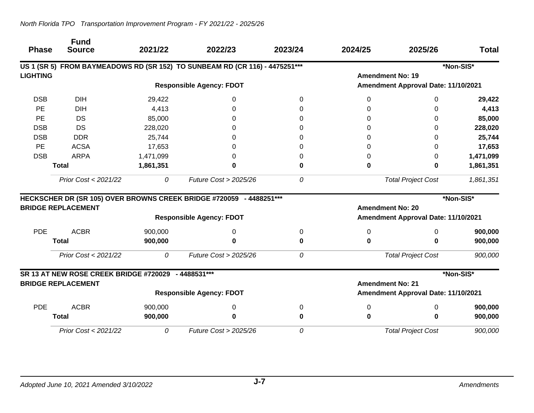| <b>Phase</b>    | <b>Fund</b><br><b>Source</b>                        | 2021/22   | 2022/23                                                                     | 2023/24 | 2024/25                             | 2025/26                             | <b>Total</b> |  |
|-----------------|-----------------------------------------------------|-----------|-----------------------------------------------------------------------------|---------|-------------------------------------|-------------------------------------|--------------|--|
|                 |                                                     |           | US 1 (SR 5) FROM BAYMEADOWS RD (SR 152) TO SUNBEAM RD (CR 116) - 4475251*** |         |                                     |                                     | *Non-SIS*    |  |
| <b>LIGHTING</b> |                                                     |           |                                                                             |         | <b>Amendment No: 19</b>             |                                     |              |  |
|                 |                                                     |           | <b>Responsible Agency: FDOT</b>                                             |         |                                     | Amendment Approval Date: 11/10/2021 |              |  |
| <b>DSB</b>      | <b>DIH</b>                                          | 29,422    | 0                                                                           | 0       | 0                                   | 0                                   | 29,422       |  |
| PE              | <b>DIH</b>                                          | 4,413     | $\Omega$                                                                    | O       | 0                                   | 0                                   | 4,413        |  |
| PE              | <b>DS</b>                                           | 85,000    | 0                                                                           |         |                                     | 0                                   | 85,000       |  |
| <b>DSB</b>      | <b>DS</b>                                           | 228,020   | 0                                                                           |         | ი                                   | 0                                   | 228,020      |  |
| <b>DSB</b>      | <b>DDR</b>                                          | 25,744    | 0                                                                           |         | 0                                   | 0                                   | 25,744       |  |
| <b>PE</b>       | <b>ACSA</b>                                         | 17,653    | O                                                                           | O       |                                     | 0                                   | 17,653       |  |
| <b>DSB</b>      | <b>ARPA</b>                                         | 1,471,099 |                                                                             | O       | 0                                   | 0                                   | 1,471,099    |  |
|                 | <b>Total</b>                                        | 1,861,351 | 0                                                                           | O       | 0                                   | 0                                   | 1,861,351    |  |
|                 | Prior Cost < 2021/22                                | 0         | Future Cost > 2025/26                                                       | 0       |                                     | <b>Total Project Cost</b>           | 1,861,351    |  |
|                 |                                                     |           | HECKSCHER DR (SR 105) OVER BROWNS CREEK BRIDGE #720059 - 4488251***         |         |                                     |                                     | *Non-SIS*    |  |
|                 | <b>BRIDGE REPLACEMENT</b>                           |           |                                                                             |         | <b>Amendment No: 20</b>             |                                     |              |  |
|                 |                                                     |           | <b>Responsible Agency: FDOT</b>                                             |         | Amendment Approval Date: 11/10/2021 |                                     |              |  |
| <b>PDE</b>      | <b>ACBR</b>                                         | 900,000   | 0                                                                           | 0       | 0                                   | 0                                   | 900,000      |  |
|                 | <b>Total</b>                                        | 900,000   | 0                                                                           | 0       | 0                                   | ŋ                                   | 900,000      |  |
|                 | Prior Cost < 2021/22                                | 0         | Future Cost > 2025/26                                                       | 0       |                                     | <b>Total Project Cost</b>           | 900,000      |  |
|                 | SR 13 AT NEW ROSE CREEK BRIDGE #720029 - 4488531*** |           |                                                                             |         |                                     |                                     | *Non-SIS*    |  |
|                 | <b>BRIDGE REPLACEMENT</b>                           |           |                                                                             |         | <b>Amendment No: 21</b>             |                                     |              |  |
|                 |                                                     |           | <b>Responsible Agency: FDOT</b>                                             |         | Amendment Approval Date: 11/10/2021 |                                     |              |  |
| <b>PDE</b>      | <b>ACBR</b>                                         | 900,000   | 0                                                                           | 0       | 0                                   | 0                                   | 900,000      |  |
|                 | <b>Total</b>                                        | 900,000   | 0                                                                           | 0       | 0                                   | 0                                   | 900,000      |  |
|                 | Prior Cost < 2021/22                                | 0         | Future Cost > 2025/26                                                       | 0       |                                     | <b>Total Project Cost</b>           | 900,000      |  |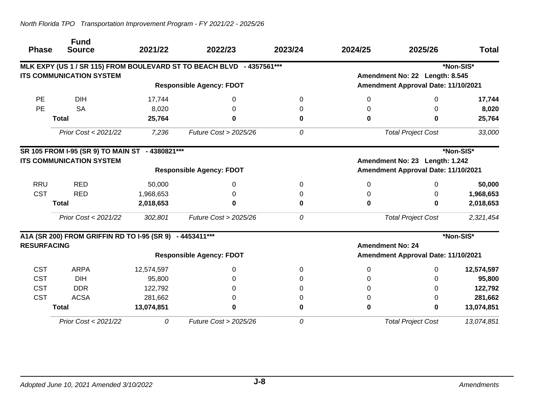| <b>Phase</b>       | <b>Fund</b><br><b>Source</b>                             | 2021/22    | 2022/23                                                               | 2023/24  | 2024/25                        | 2025/26                             | <b>Total</b> |
|--------------------|----------------------------------------------------------|------------|-----------------------------------------------------------------------|----------|--------------------------------|-------------------------------------|--------------|
|                    |                                                          |            | MLK EXPY (US 1 / SR 115) FROM BOULEVARD ST TO BEACH BLVD - 4357561*** |          |                                |                                     | *Non-SIS*    |
|                    | <b>ITS COMMUNICATION SYSTEM</b>                          |            |                                                                       |          |                                | Amendment No: 22 Length: 8.545      |              |
|                    |                                                          |            | <b>Responsible Agency: FDOT</b>                                       |          |                                | Amendment Approval Date: 11/10/2021 |              |
| <b>PE</b>          | <b>DIH</b>                                               | 17,744     | 0                                                                     | $\Omega$ | 0                              | 0                                   | 17,744       |
| PE                 | <b>SA</b>                                                | 8,020      | 0                                                                     | 0        |                                | 0                                   | 8,020        |
|                    | <b>Total</b>                                             | 25,764     | 0                                                                     | 0        | 0                              | 0                                   | 25,764       |
|                    | Prior Cost < 2021/22                                     | 7,236      | <b>Future Cost &gt; 2025/26</b>                                       | 0        |                                | <b>Total Project Cost</b>           | 33,000       |
|                    | SR 105 FROM I-95 (SR 9) TO MAIN ST - 4380821***          |            |                                                                       |          |                                |                                     | *Non-SIS*    |
|                    | <b>ITS COMMUNICATION SYSTEM</b>                          |            |                                                                       |          | Amendment No: 23 Length: 1.242 |                                     |              |
|                    | <b>Responsible Agency: FDOT</b>                          |            |                                                                       |          |                                | Amendment Approval Date: 11/10/2021 |              |
| <b>RRU</b>         | <b>RED</b>                                               | 50,000     | $\Omega$                                                              | $\Omega$ | 0                              | 0                                   | 50,000       |
| <b>CST</b>         | <b>RED</b>                                               | 1,968,653  | 0                                                                     | 0        | 0                              | 0                                   | 1,968,653    |
|                    | <b>Total</b>                                             | 2,018,653  | $\bf{0}$                                                              | 0        | 0                              | 0                                   | 2,018,653    |
|                    | Prior Cost < 2021/22                                     | 302,801    | <b>Future Cost &gt; 2025/26</b>                                       | 0        |                                | <b>Total Project Cost</b>           | 2,321,454    |
|                    | A1A (SR 200) FROM GRIFFIN RD TO I-95 (SR 9) - 4453411*** |            |                                                                       |          |                                |                                     | *Non-SIS*    |
| <b>RESURFACING</b> |                                                          |            |                                                                       |          |                                | <b>Amendment No: 24</b>             |              |
|                    |                                                          |            | <b>Responsible Agency: FDOT</b>                                       |          |                                | Amendment Approval Date: 11/10/2021 |              |
| <b>CST</b>         | <b>ARPA</b>                                              | 12,574,597 | 0                                                                     | $\Omega$ | 0                              | 0                                   | 12,574,597   |
| <b>CST</b>         | <b>DIH</b>                                               | 95,800     | 0                                                                     |          | 0                              | O                                   | 95,800       |
| <b>CST</b>         | <b>DDR</b>                                               | 122,792    | 0                                                                     | 0        | 0                              | 0                                   | 122,792      |
| <b>CST</b>         | <b>ACSA</b>                                              | 281,662    | 0                                                                     | O        | 0                              | 0                                   | 281,662      |
|                    | <b>Total</b>                                             | 13,074,851 | 0                                                                     | 0        | 0                              | 0                                   | 13,074,851   |
|                    | Prior Cost < 2021/22                                     | 0          | Future Cost > 2025/26                                                 | 0        |                                | <b>Total Project Cost</b>           | 13,074,851   |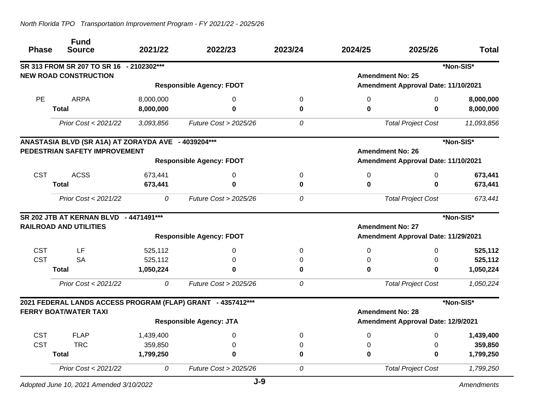| <b>Phase</b> | <b>Fund</b><br><b>Source</b>                        | 2021/22   | 2022/23                                                     | 2023/24 | 2024/25                   | 2025/26                             | <b>Total</b> |
|--------------|-----------------------------------------------------|-----------|-------------------------------------------------------------|---------|---------------------------|-------------------------------------|--------------|
|              | SR 313 FROM SR 207 TO SR 16 - 2102302***            |           |                                                             |         |                           |                                     | *Non-SIS*    |
|              | <b>NEW ROAD CONSTRUCTION</b>                        |           |                                                             |         | <b>Amendment No: 25</b>   |                                     |              |
|              |                                                     |           | <b>Responsible Agency: FDOT</b>                             |         |                           | Amendment Approval Date: 11/10/2021 |              |
| PE           | <b>ARPA</b>                                         | 8,000,000 | 0                                                           | 0       | 0                         | 0                                   | 8,000,000    |
|              | <b>Total</b>                                        | 8,000,000 | 0                                                           | 0       | 0                         | $\bf{0}$                            | 8,000,000    |
|              | Prior Cost < 2021/22                                | 3,093,856 | Future Cost > 2025/26                                       | 0       |                           | <b>Total Project Cost</b>           | 11,093,856   |
|              | ANASTASIA BLVD (SR A1A) AT ZORAYDA AVE - 4039204*** |           |                                                             |         |                           |                                     | *Non-SIS*    |
|              | PEDESTRIAN SAFETY IMPROVEMENT                       |           |                                                             |         | <b>Amendment No: 26</b>   |                                     |              |
|              |                                                     |           | <b>Responsible Agency: FDOT</b>                             |         |                           | Amendment Approval Date: 11/10/2021 |              |
| <b>CST</b>   | <b>ACSS</b>                                         | 673,441   | 0                                                           | 0       | 0                         | $\Omega$                            | 673,441      |
|              | <b>Total</b>                                        | 673,441   | $\bf{0}$                                                    | 0       | 0                         | $\bf{0}$                            | 673,441      |
|              | Prior Cost < 2021/22                                | 0         | Future Cost > 2025/26                                       | 0       | <b>Total Project Cost</b> |                                     | 673,441      |
|              | SR 202 JTB AT KERNAN BLVD - 4471491***              |           |                                                             |         |                           |                                     | *Non-SIS*    |
|              | <b>RAILROAD AND UTILITIES</b>                       |           |                                                             |         | <b>Amendment No: 27</b>   |                                     |              |
|              |                                                     |           | <b>Responsible Agency: FDOT</b>                             |         |                           | Amendment Approval Date: 11/29/2021 |              |
| <b>CST</b>   | LF                                                  | 525,112   | 0                                                           | 0       | 0                         | $\Omega$                            | 525,112      |
| <b>CST</b>   | <b>SA</b>                                           | 525,112   | 0                                                           | 0       | 0                         | 0                                   | 525,112      |
|              | <b>Total</b>                                        | 1,050,224 | 0                                                           | 0       | 0                         | $\bf{0}$                            | 1,050,224    |
|              | Prior Cost < 2021/22                                | 0         | Future Cost > 2025/26                                       | 0       |                           | <b>Total Project Cost</b>           | 1,050,224    |
|              |                                                     |           | 2021 FEDERAL LANDS ACCESS PROGRAM (FLAP) GRANT - 4357412*** |         |                           |                                     | *Non-SIS*    |
|              | <b>FERRY BOAT/WATER TAXI</b>                        |           |                                                             |         | <b>Amendment No: 28</b>   |                                     |              |
|              |                                                     |           | <b>Responsible Agency: JTA</b>                              |         |                           | Amendment Approval Date: 12/9/2021  |              |
| <b>CST</b>   | <b>FLAP</b>                                         | 1,439,400 | $\Omega$                                                    | 0       | 0                         | $\Omega$                            | 1,439,400    |
| <b>CST</b>   | <b>TRC</b>                                          | 359,850   | 0                                                           | 0       | 0                         | 0                                   | 359,850      |
|              | <b>Total</b>                                        | 1,799,250 | 0                                                           | 0       | 0                         | $\bf{0}$                            | 1,799,250    |
|              | Prior Cost < 2021/22                                | 0         | Future Cost > 2025/26                                       | 0       |                           | <b>Total Project Cost</b>           | 1,799,250    |
|              | Adopted June 10, 2021 Amended 3/10/2022             |           | $J-9$                                                       |         |                           |                                     | Amendments   |

*Adopted June 10, 2021 Amended 3/10/2022*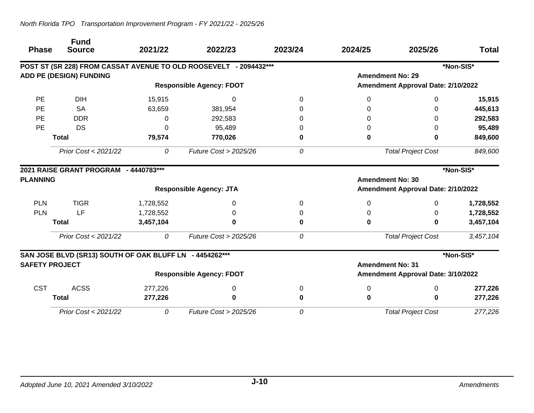| <b>Phase</b>          | <b>Fund</b><br><b>Source</b>                            | 2021/22   | 2022/23                                                           | 2023/24 | 2024/25                 | 2025/26                            | <b>Total</b> |
|-----------------------|---------------------------------------------------------|-----------|-------------------------------------------------------------------|---------|-------------------------|------------------------------------|--------------|
|                       |                                                         |           | POST ST (SR 228) FROM CASSAT AVENUE TO OLD ROOSEVELT - 2094432*** |         |                         |                                    | *Non-SIS*    |
|                       | <b>ADD PE (DESIGN) FUNDING</b>                          |           |                                                                   |         |                         | <b>Amendment No: 29</b>            |              |
|                       |                                                         |           | <b>Responsible Agency: FDOT</b>                                   |         |                         | Amendment Approval Date: 2/10/2022 |              |
| <b>PE</b>             | <b>DIH</b>                                              | 15,915    | 0                                                                 | 0       | 0                       | 0                                  | 15,915       |
| PE                    | <b>SA</b>                                               | 63,659    | 381,954                                                           |         | 0                       | 0                                  | 445,613      |
| PE                    | <b>DDR</b>                                              | 0         | 292,583                                                           |         | 0                       | 0                                  | 292,583      |
| PE                    | <b>DS</b>                                               | $\Omega$  | 95,489                                                            |         | 0                       | 0                                  | 95,489       |
|                       | <b>Total</b>                                            | 79,574    | 770,026                                                           | 0       | 0                       | 0                                  | 849,600      |
|                       | Prior Cost < 2021/22                                    | 0         | Future Cost $>$ 2025/26                                           | 0       |                         | <b>Total Project Cost</b>          | 849,600      |
| <b>PLANNING</b>       | 2021 RAISE GRANT PROGRAM - 4440783***                   |           |                                                                   |         |                         | <b>Amendment No: 30</b>            | *Non-SIS*    |
|                       |                                                         |           | <b>Responsible Agency: JTA</b>                                    |         |                         | Amendment Approval Date: 2/10/2022 |              |
| <b>PLN</b>            | <b>TIGR</b>                                             | 1,728,552 | 0                                                                 | 0       | 0                       | 0                                  | 1,728,552    |
| <b>PLN</b>            | LF                                                      | 1,728,552 | 0                                                                 |         | Ω                       | 0                                  | 1,728,552    |
|                       | <b>Total</b>                                            | 3,457,104 | 0                                                                 | 0       | 0                       | 0                                  | 3,457,104    |
|                       | Prior Cost < 2021/22                                    | 0         | <b>Future Cost &gt; 2025/26</b>                                   | 0       |                         | <b>Total Project Cost</b>          | 3,457,104    |
|                       | SAN JOSE BLVD (SR13) SOUTH OF OAK BLUFF LN - 4454262*** |           |                                                                   |         |                         |                                    | *Non-SIS*    |
| <b>SAFETY PROJECT</b> |                                                         |           |                                                                   |         | <b>Amendment No: 31</b> |                                    |              |
|                       |                                                         |           | <b>Responsible Agency: FDOT</b>                                   |         |                         | Amendment Approval Date: 3/10/2022 |              |
| <b>CST</b>            | <b>ACSS</b>                                             | 277,226   | 0                                                                 | 0       | 0                       | 0                                  | 277,226      |
|                       | <b>Total</b>                                            | 277,226   | 0                                                                 | 0       | 0                       | 0                                  | 277,226      |
|                       | Prior Cost < 2021/22                                    | 0         | Future Cost > 2025/26                                             | 0       |                         | <b>Total Project Cost</b>          | 277,226      |